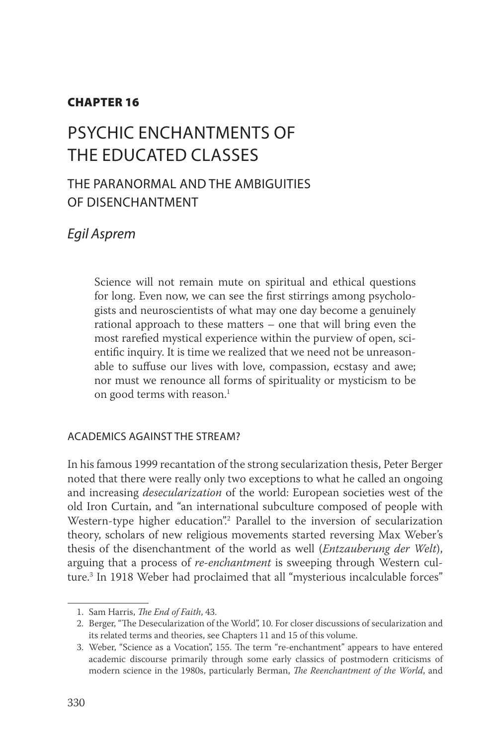# CHAPTER 16

# PSYChIC ENChANTMENTS OF ThE EDUCATED ClASSES

# ThE PARANORMAl AND ThE AMbIgUITIES OF DISENChANTMENT

# Egil Asprem

Science will not remain mute on spiritual and ethical questions for long. Even now, we can see the first stirrings among psychologists and neuroscientists of what may one day become a genuinely rational approach to these matters – one that will bring even the most rarefied mystical experience within the purview of open, scientific inquiry. It is time we realized that we need not be unreasonable to sufuse our lives with love, compassion, ecstasy and awe; nor must we renounce all forms of spirituality or mysticism to be on good terms with reason.<sup>1</sup>

### ACADEMICS AgAINST ThE STREAM?

In his famous 1999 recantation of the strong secularization thesis, Peter Berger noted that there were really only two exceptions to what he called an ongoing and increasing *desecularization* of the world: European societies west of the old Iron Curtain, and "an international subculture composed of people with Western-type higher education".<sup>2</sup> Parallel to the inversion of secularization theory, scholars of new religious movements started reversing Max Weber's thesis of the disenchantment of the world as well (Entzauberung der Welt), arguing that a process of re-enchantment is sweeping through Western culture.<sup>3</sup> In 1918 Weber had proclaimed that all "mysterious incalculable forces"

<sup>1.</sup> Sam Harris, The End of Faith, 43.

 <sup>2.</sup> Berger, "he Desecularization of the World", 10. For closer discussions of secularization and its related terms and theories, see Chapters 11 and 15 of this volume.

 <sup>3.</sup> Weber, "Science as a Vocation", 155. he term "re-enchantment" appears to have entered academic discourse primarily through some early classics of postmodern criticisms of modern science in the 1980s, particularly Berman, The Reenchantment of the World, and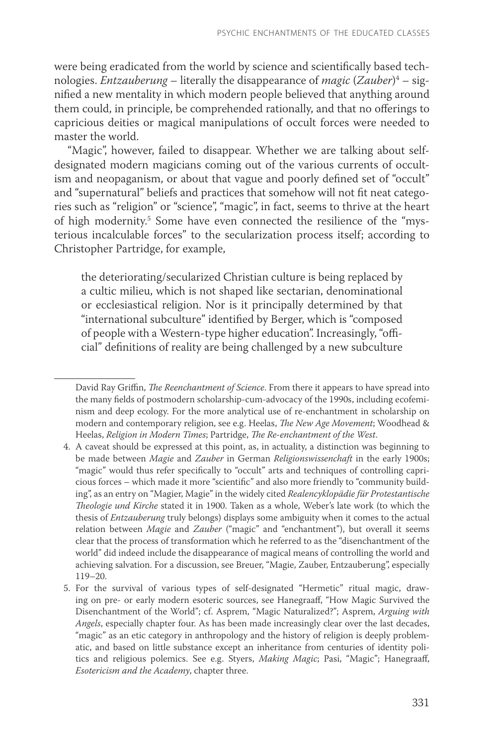were being eradicated from the world by science and scientifically based technologies. *Entzauberung* – literally the disappearance of *magic (Zauber)*ª – signified a new mentality in which modern people believed that anything around them could, in principle, be comprehended rationally, and that no oferings to capricious deities or magical manipulations of occult forces were needed to master the world.

"Magic", however, failed to disappear. Whether we are talking about selfdesignated modern magicians coming out of the various currents of occultism and neopaganism, or about that vague and poorly defined set of "occult" and "supernatural" beliefs and practices that somehow will not fit neat categories such as "religion" or "science", "magic", in fact, seems to thrive at the heart of high modernity.<sup>5</sup> Some have even connected the resilience of the "mysterious incalculable forces" to the secularization process itself; according to Christopher Partridge, for example,

the deteriorating/secularized Christian culture is being replaced by a cultic milieu, which is not shaped like sectarian, denominational or ecclesiastical religion. Nor is it principally determined by that "international subculture" identified by Berger, which is "composed of people with a Western-type higher education". Increasingly, "official" definitions of reality are being challenged by a new subculture

David Ray Griffin, *The Reenchantment of Science*. From there it appears to have spread into the many fields of postmodern scholarship-cum-advocacy of the 1990s, including ecofeminism and deep ecology. For the more analytical use of re-enchantment in scholarship on modern and contemporary religion, see e.g. Heelas, The New Age Movement; Woodhead & Heelas, Religion in Modern Times; Partridge, The Re-enchantment of the West.

 <sup>4.</sup> A caveat should be expressed at this point, as, in actuality, a distinction was beginning to be made between Magie and Zauber in German Religionswissenchaft in the early 1900s; "magic" would thus refer specifically to "occult" arts and techniques of controlling capricious forces – which made it more "scientiic" and also more friendly to "community building", as an entry on "Magier, Magie" in the widely cited Realencyklopädie für Protestantische heologie und Kirche stated it in 1900. Taken as a whole, Weber's late work (to which the thesis of Entzauberung truly belongs) displays some ambiguity when it comes to the actual relation between Magie and Zauber ("magic" and "enchantment"), but overall it seems clear that the process of transformation which he referred to as the "disenchantment of the world" did indeed include the disappearance of magical means of controlling the world and achieving salvation. For a discussion, see Breuer, "Magie, Zauber, Entzauberung", especially 119–20.

 <sup>5.</sup> For the survival of various types of self-designated "Hermetic" ritual magic, drawing on pre- or early modern esoteric sources, see Hanegraaf, "How Magic Survived the Disenchantment of the World"; cf. Asprem, "Magic Naturalized?"; Asprem, Arguing with Angels, especially chapter four. As has been made increasingly clear over the last decades, "magic" as an etic category in anthropology and the history of religion is deeply problematic, and based on little substance except an inheritance from centuries of identity politics and religious polemics. See e.g. Styers, Making Magic; Pasi, "Magic"; Hanegraaff, Esotericism and the Academy, chapter three.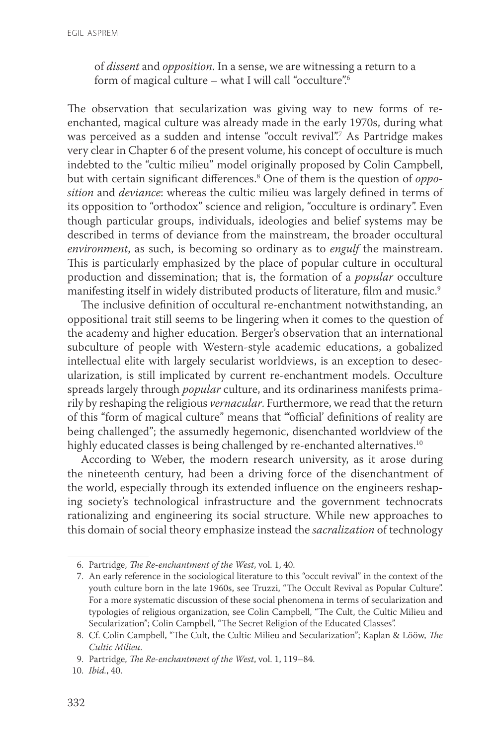of dissent and opposition. In a sense, we are witnessing a return to a form of magical culture – what I will call "occulture".<sup>6</sup>

The observation that secularization was giving way to new forms of reenchanted, magical culture was already made in the early 1970s, during what was perceived as a sudden and intense "occult revival".<sup>7</sup> As Partridge makes very clear in Chapter 6 of the present volume, his concept of occulture is much indebted to the "cultic milieu" model originally proposed by Colin Campbell, but with certain significant differences. $^8$  One of them is the question of  $oppo\hbox{-}$ sition and *deviance*: whereas the cultic milieu was largely defined in terms of its opposition to "orthodox" science and religion, "occulture is ordinary". Even though particular groups, individuals, ideologies and belief systems may be described in terms of deviance from the mainstream, the broader occultural environment, as such, is becoming so ordinary as to engulf the mainstream. his is particularly emphasized by the place of popular culture in occultural production and dissemination; that is, the formation of a *popular* occulture manifesting itself in widely distributed products of literature, film and music.<sup>9</sup>

The inclusive definition of occultural re-enchantment notwithstanding, an oppositional trait still seems to be lingering when it comes to the question of the academy and higher education. Berger's observation that an international subculture of people with Western-style academic educations, a gobalized intellectual elite with largely secularist worldviews, is an exception to desecularization, is still implicated by current re-enchantment models. Occulture spreads largely through *popular* culture, and its ordinariness manifests primarily by reshaping the religious vernacular. Furthermore, we read that the return of this "form of magical culture" means that "'official' definitions of reality are being challenged"; the assumedly hegemonic, disenchanted worldview of the highly educated classes is being challenged by re-enchanted alternatives.<sup>10</sup>

According to Weber, the modern research university, as it arose during the nineteenth century, had been a driving force of the disenchantment of the world, especially through its extended inluence on the engineers reshaping society's technological infrastructure and the government technocrats rationalizing and engineering its social structure. While new approaches to this domain of social theory emphasize instead the sacralization of technology

<sup>6.</sup> Partridge, The Re-enchantment of the West, vol. 1, 40.

 <sup>7.</sup> An early reference in the sociological literature to this "occult revival" in the context of the youth culture born in the late 1960s, see Truzzi, "The Occult Revival as Popular Culture". For a more systematic discussion of these social phenomena in terms of secularization and typologies of religious organization, see Colin Campbell, "The Cult, the Cultic Milieu and Secularization"; Colin Campbell, "The Secret Religion of the Educated Classes".

<sup>8.</sup> Cf. Colin Campbell, "The Cult, the Cultic Milieu and Secularization"; Kaplan & Lööw, The Cultic Milieu.

<sup>9.</sup> Partridge, The Re-enchantment of the West, vol. 1, 119–84.

 <sup>10.</sup> Ibid., 40.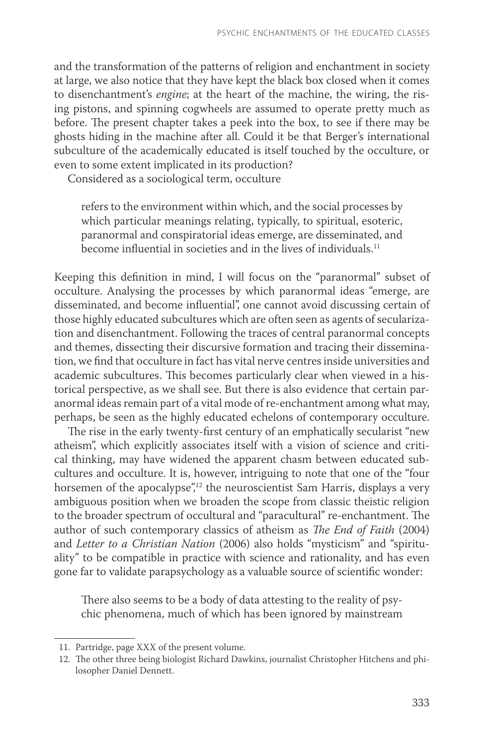and the transformation of the patterns of religion and enchantment in society at large, we also notice that they have kept the black box closed when it comes to disenchantment's engine; at the heart of the machine, the wiring, the rising pistons, and spinning cogwheels are assumed to operate pretty much as before. The present chapter takes a peek into the box, to see if there may be ghosts hiding in the machine after all. Could it be that Berger's international subculture of the academically educated is itself touched by the occulture, or even to some extent implicated in its production?

Considered as a sociological term, occulture

refers to the environment within which, and the social processes by which particular meanings relating, typically, to spiritual, esoteric, paranormal and conspiratorial ideas emerge, are disseminated, and become influential in societies and in the lives of individuals.<sup>11</sup>

Keeping this definition in mind, I will focus on the "paranormal" subset of occulture. Analysing the processes by which paranormal ideas "emerge, are disseminated, and become inluential", one cannot avoid discussing certain of those highly educated subcultures which are often seen as agents of secularization and disenchantment. Following the traces of central paranormal concepts and themes, dissecting their discursive formation and tracing their dissemination, we find that occulture in fact has vital nerve centres inside universities and academic subcultures. This becomes particularly clear when viewed in a historical perspective, as we shall see. But there is also evidence that certain paranormal ideas remain part of a vital mode of re-enchantment among what may, perhaps, be seen as the highly educated echelons of contemporary occulture.

The rise in the early twenty-first century of an emphatically secularist "new atheism", which explicitly associates itself with a vision of science and critical thinking, may have widened the apparent chasm between educated subcultures and occulture. It is, however, intriguing to note that one of the "four horsemen of the apocalypse",<sup>12</sup> the neuroscientist Sam Harris, displays a very ambiguous position when we broaden the scope from classic theistic religion to the broader spectrum of occultural and "paracultural" re-enchantment. The author of such contemporary classics of atheism as *The End of Faith* (2004) and Letter to a Christian Nation (2006) also holds "mysticism" and "spirituality" to be compatible in practice with science and rationality, and has even gone far to validate parapsychology as a valuable source of scientiic wonder:

here also seems to be a body of data attesting to the reality of psychic phenomena, much of which has been ignored by mainstream

 <sup>11.</sup> Partridge, page XXX of the present volume.

<sup>12.</sup> The other three being biologist Richard Dawkins, journalist Christopher Hitchens and philosopher Daniel Dennett.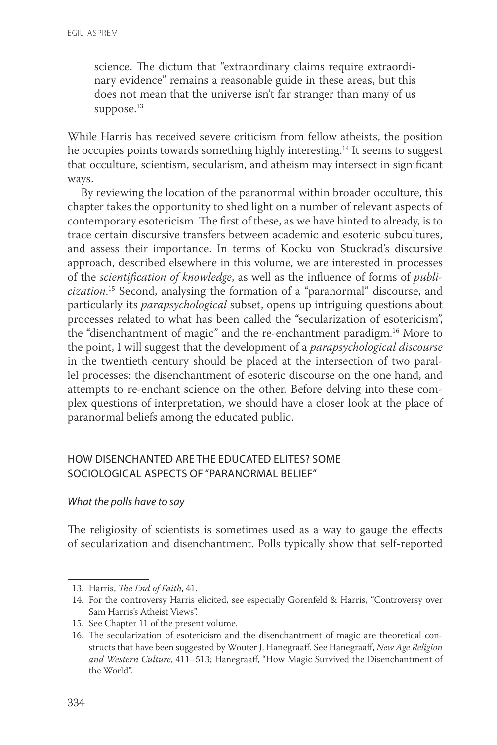science. The dictum that "extraordinary claims require extraordinary evidence" remains a reasonable guide in these areas, but this does not mean that the universe isn't far stranger than many of us suppose. $13$ 

While Harris has received severe criticism from fellow atheists, the position he occupies points towards something highly interesting.<sup>14</sup> It seems to suggest that occulture, scientism, secularism, and atheism may intersect in significant ways.

By reviewing the location of the paranormal within broader occulture, this chapter takes the opportunity to shed light on a number of relevant aspects of contemporary esotericism. The first of these, as we have hinted to already, is to trace certain discursive transfers between academic and esoteric subcultures, and assess their importance. In terms of Kocku von Stuckrad's discursive approach, described elsewhere in this volume, we are interested in processes of the scientification of knowledge, as well as the influence of forms of publicization. <sup>15</sup> Second, analysing the formation of a "paranormal" discourse, and particularly its *parapsychological* subset, opens up intriguing questions about processes related to what has been called the "secularization of esotericism", the "disenchantment of magic" and the re-enchantment paradigm.<sup>16</sup> More to the point, I will suggest that the development of a *parapsychological discourse* in the twentieth century should be placed at the intersection of two parallel processes: the disenchantment of esoteric discourse on the one hand, and attempts to re-enchant science on the other. Before delving into these complex questions of interpretation, we should have a closer look at the place of paranormal beliefs among the educated public.

## hOW DISENChANTED ARE ThE EDUCATED ElITES? SOME SOCIOlOgICAl ASPECTS OF "PARANORMAl bElIEF"

#### What the polls have to say

The religiosity of scientists is sometimes used as a way to gauge the effects of secularization and disenchantment. Polls typically show that self-reported

<sup>13.</sup> Harris, The End of Faith, 41.

 <sup>14.</sup> For the controversy Harris elicited, see especially Gorenfeld & Harris, "Controversy over Sam Harris's Atheist Views".

 <sup>15.</sup> See Chapter 11 of the present volume.

 <sup>16.</sup> he secularization of esotericism and the disenchantment of magic are theoretical constructs that have been suggested by Wouter J. Hanegraaff. See Hanegraaff, New Age Religion and Western Culture, 411–513; Hanegraaf, "How Magic Survived the Disenchantment of the World".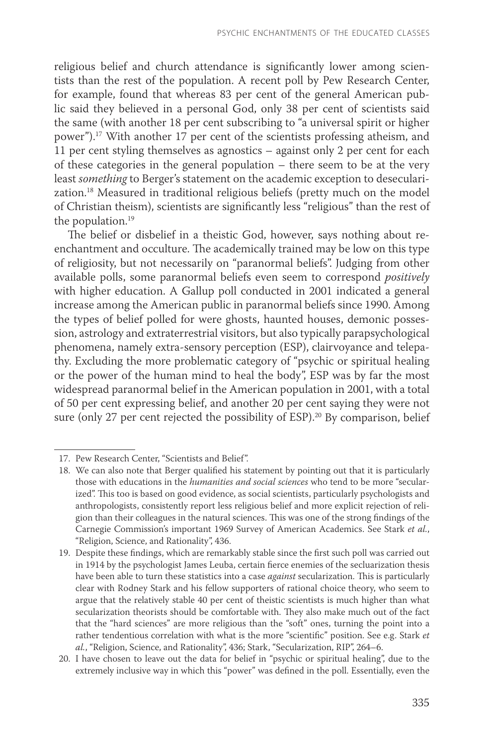religious belief and church attendance is significantly lower among scientists than the rest of the population. A recent poll by Pew Research Center, for example, found that whereas 83 per cent of the general American public said they believed in a personal God, only 38 per cent of scientists said the same (with another 18 per cent subscribing to "a universal spirit or higher power").<sup>17</sup> With another 17 per cent of the scientists professing atheism, and 11 per cent styling themselves as agnostics – against only 2 per cent for each of these categories in the general population – there seem to be at the very least something to Berger's statement on the academic exception to desecularization.<sup>18</sup> Measured in traditional religious beliefs (pretty much on the model of Christian theism), scientists are significantly less "religious" than the rest of the population.<sup>19</sup>

The belief or disbelief in a theistic God, however, says nothing about reenchantment and occulture. The academically trained may be low on this type of religiosity, but not necessarily on "paranormal beliefs". Judging from other available polls, some paranormal beliefs even seem to correspond positively with higher education. A Gallup poll conducted in 2001 indicated a general increase among the American public in paranormal beliefs since 1990. Among the types of belief polled for were ghosts, haunted houses, demonic possession, astrology and extraterrestrial visitors, but also typically parapsychological phenomena, namely extra-sensory perception (ESP), clairvoyance and telepathy. Excluding the more problematic category of "psychic or spiritual healing or the power of the human mind to heal the body", ESP was by far the most widespread paranormal belief in the American population in 2001, with a total of 50 per cent expressing belief, and another 20 per cent saying they were not sure (only 27 per cent rejected the possibility of ESP).<sup>20</sup> By comparison, belief

 <sup>17.</sup> Pew Research Center, "Scientists and Belief".

<sup>18.</sup> We can also note that Berger qualified his statement by pointing out that it is particularly those with educations in the humanities and social sciences who tend to be more "secularized". This too is based on good evidence, as social scientists, particularly psychologists and anthropologists, consistently report less religious belief and more explicit rejection of religion than their colleagues in the natural sciences. This was one of the strong findings of the Carnegie Commission's important 1969 Survey of American Academics. See Stark et al., "Religion, Science, and Rationality", 436.

<sup>19.</sup> Despite these findings, which are remarkably stable since the first such poll was carried out in 1914 by the psychologist James Leuba, certain fierce enemies of the secluarization thesis have been able to turn these statistics into a case *against* secularization. This is particularly clear with Rodney Stark and his fellow supporters of rational choice theory, who seem to argue that the relatively stable 40 per cent of theistic scientists is much higher than what secularization theorists should be comfortable with. They also make much out of the fact that the "hard sciences" are more religious than the "soft" ones, turning the point into a rather tendentious correlation with what is the more "scientific" position. See e.g. Stark et al., "Religion, Science, and Rationality", 436; Stark, "Secularization, RIP", 264–6.

 <sup>20.</sup> I have chosen to leave out the data for belief in "psychic or spiritual healing", due to the extremely inclusive way in which this "power" was deined in the poll. Essentially, even the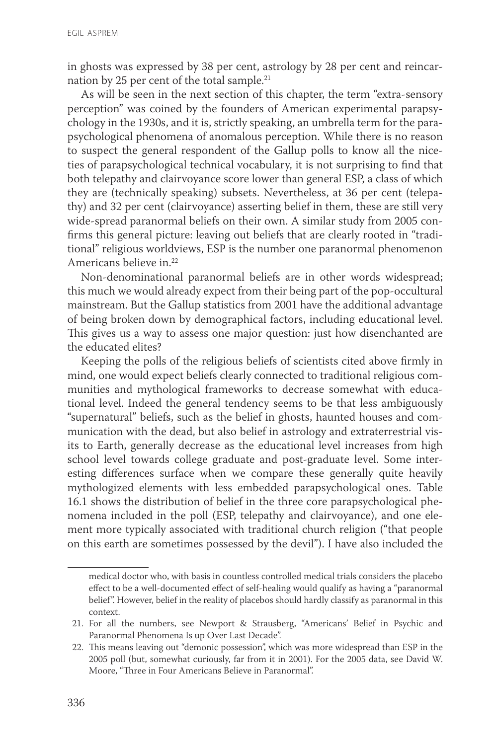in ghosts was expressed by 38 per cent, astrology by 28 per cent and reincarnation by 25 per cent of the total sample.<sup>21</sup>

As will be seen in the next section of this chapter, the term "extra-sensory perception" was coined by the founders of American experimental parapsychology in the 1930s, and it is, strictly speaking, an umbrella term for the parapsychological phenomena of anomalous perception. While there is no reason to suspect the general respondent of the Gallup polls to know all the niceties of parapsychological technical vocabulary, it is not surprising to find that both telepathy and clairvoyance score lower than general ESP, a class of which they are (technically speaking) subsets. Nevertheless, at 36 per cent (telepathy) and 32 per cent (clairvoyance) asserting belief in them, these are still very wide-spread paranormal beliefs on their own. A similar study from 2005 confirms this general picture: leaving out beliefs that are clearly rooted in "traditional" religious worldviews, ESP is the number one paranormal phenomenon Americans believe in.<sup>22</sup>

Non-denominational paranormal beliefs are in other words widespread; this much we would already expect from their being part of the pop-occultural mainstream. But the Gallup statistics from 2001 have the additional advantage of being broken down by demographical factors, including educational level. his gives us a way to assess one major question: just how disenchanted are the educated elites?

Keeping the polls of the religious beliefs of scientists cited above irmly in mind, one would expect beliefs clearly connected to traditional religious communities and mythological frameworks to decrease somewhat with educational level. Indeed the general tendency seems to be that less ambiguously "supernatural" beliefs, such as the belief in ghosts, haunted houses and communication with the dead, but also belief in astrology and extraterrestrial visits to Earth, generally decrease as the educational level increases from high school level towards college graduate and post-graduate level. Some interesting diferences surface when we compare these generally quite heavily mythologized elements with less embedded parapsychological ones. Table 16.1 shows the distribution of belief in the three core parapsychological phenomena included in the poll (ESP, telepathy and clairvoyance), and one element more typically associated with traditional church religion ("that people on this earth are sometimes possessed by the devil"). I have also included the

medical doctor who, with basis in countless controlled medical trials considers the placebo efect to be a well-documented efect of self-healing would qualify as having a "paranormal belief". However, belief in the reality of placebos should hardly classify as paranormal in this context.

 <sup>21.</sup> For all the numbers, see Newport & Strausberg, "Americans' Belief in Psychic and Paranormal Phenomena Is up Over Last Decade".

<sup>22.</sup> This means leaving out "demonic possession", which was more widespread than ESP in the 2005 poll (but, somewhat curiously, far from it in 2001). For the 2005 data, see David W. Moore, "hree in Four Americans Believe in Paranormal".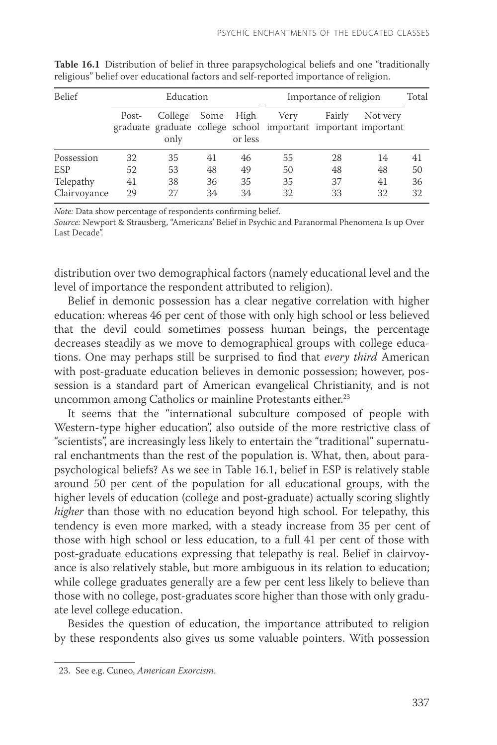| Belief       | Education |                 |      |                 | Importance of religion                                                 |        |          | Total |
|--------------|-----------|-----------------|------|-----------------|------------------------------------------------------------------------|--------|----------|-------|
|              | Post-     | College<br>only | Some | High<br>or less | Very<br>graduate graduate college school important important important | Fairly | Not very |       |
| Possession   | 32        | 35              | 41   | 46              | 55                                                                     | 28     | 14       | 41    |
| ESP          | 52        | 53              | 48   | 49              | 50                                                                     | 48     | 48       | 50    |
| Telepathy    | 41        | 38              | 36   | 35              | 35                                                                     | 37     | 41       | 36    |
| Clairvoyance | 29        | 27              | 34   | 34              | 32                                                                     | 33     | 32       | 32    |

**Table 16.1** Distribution of belief in three parapsychological beliefs and one "traditionally religious" belief over educational factors and self-reported importance of religion.

Note: Data show percentage of respondents confirming belief.

Source: Newport & Strausberg, "Americans' Belief in Psychic and Paranormal Phenomena Is up Over Last Decade".

 distribution over two demographical factors (namely educational level and the level of importance the respondent attributed to religion).

Belief in demonic possession has a clear negative correlation with higher education: whereas 46 per cent of those with only high school or less believed that the devil could sometimes possess human beings, the percentage decreases steadily as we move to demographical groups with college educations. One may perhaps still be surprised to find that every third American with post-graduate education believes in demonic possession; however, possession is a standard part of American evangelical Christianity, and is not uncommon among Catholics or mainline Protestants either.<sup>23</sup>

It seems that the "international subculture composed of people with Western-type higher education", also outside of the more restrictive class of "scientists", are increasingly less likely to entertain the "traditional" supernatural enchantments than the rest of the population is. What, then, about parapsychological beliefs? As we see in Table 16.1, belief in ESP is relatively stable around 50 per cent of the population for all educational groups, with the higher levels of education (college and post-graduate) actually scoring slightly higher than those with no education beyond high school. For telepathy, this tendency is even more marked, with a steady increase from 35 per cent of those with high school or less education, to a full 41 per cent of those with post-graduate educations expressing that telepathy is real. Belief in clairvoyance is also relatively stable, but more ambiguous in its relation to education; while college graduates generally are a few per cent less likely to believe than those with no college, post-graduates score higher than those with only graduate level college education.

Besides the question of education, the importance attributed to religion by these respondents also gives us some valuable pointers. With possession

 <sup>23.</sup> See e.g. Cuneo, American Exorcism.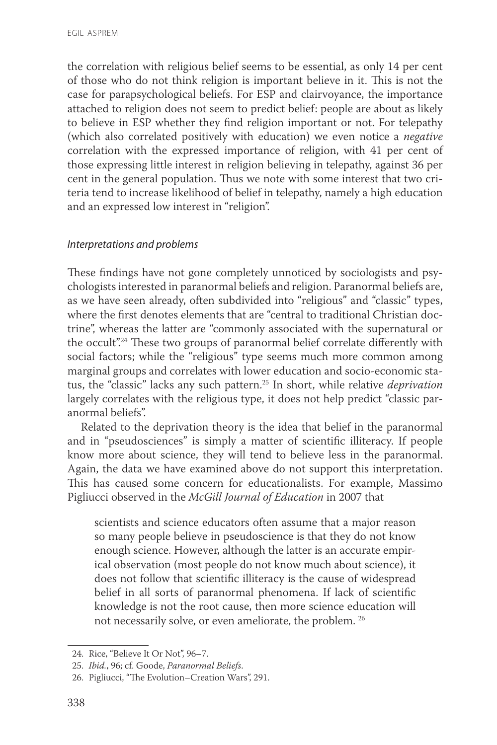the correlation with religious belief seems to be essential, as only 14 per cent of those who do not think religion is important believe in it. This is not the case for parapsychological beliefs. For ESP and clairvoyance, the importance attached to religion does not seem to predict belief: people are about as likely to believe in ESP whether they find religion important or not. For telepathy (which also correlated positively with education) we even notice a *negative* correlation with the expressed importance of religion, with 41 per cent of those expressing little interest in religion believing in telepathy, against 36 per cent in the general population. Thus we note with some interest that two criteria tend to increase likelihood of belief in telepathy, namely a high education and an expressed low interest in "religion".

#### Interpretations and problems

These findings have not gone completely unnoticed by sociologists and psychologists interested in paranormal beliefs and religion. Paranormal beliefs are, as we have seen already, often subdivided into "religious" and "classic" types, where the first denotes elements that are "central to traditional Christian doctrine", whereas the latter are "commonly associated with the supernatural or the occult".<sup>24</sup> These two groups of paranormal belief correlate differently with social factors; while the "religious" type seems much more common among marginal groups and correlates with lower education and socio-economic status, the "classic" lacks any such pattern.<sup>25</sup> In short, while relative *deprivation* largely correlates with the religious type, it does not help predict "classic paranormal beliefs".

Related to the deprivation theory is the idea that belief in the paranormal and in "pseudosciences" is simply a matter of scientific illiteracy. If people know more about science, they will tend to believe less in the paranormal. Again, the data we have examined above do not support this interpretation. his has caused some concern for educationalists. For example, Massimo Pigliucci observed in the McGill Journal of Education in 2007 that

scientists and science educators often assume that a major reason so many people believe in pseudoscience is that they do not know enough science. However, although the latter is an accurate empirical observation (most people do not know much about science), it does not follow that scientific illiteracy is the cause of widespread belief in all sorts of paranormal phenomena. If lack of scientific knowledge is not the root cause, then more science education will not necessarily solve, or even ameliorate, the problem. <sup>26</sup>

 <sup>24.</sup> Rice, "Believe It Or Not", 96–7.

 <sup>25.</sup> Ibid., 96; cf. Goode, Paranormal Beliefs.

<sup>26.</sup> Pigliucci, "The Evolution–Creation Wars", 291.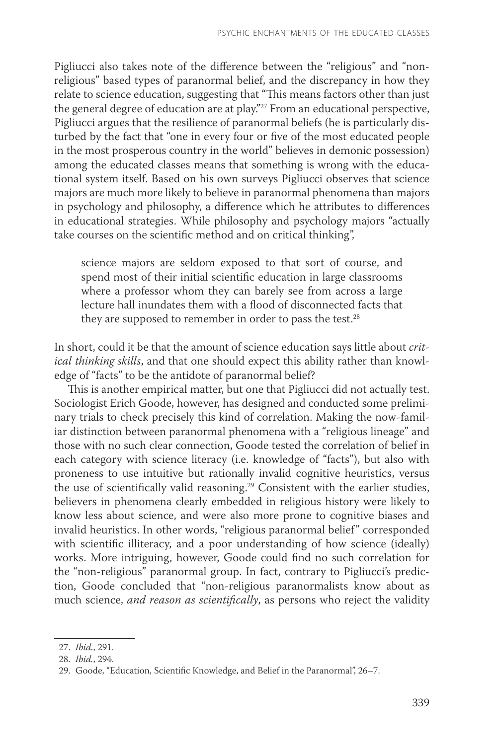Pigliucci also takes note of the diference between the "religious" and "nonreligious" based types of paranormal belief, and the discrepancy in how they relate to science education, suggesting that "This means factors other than just the general degree of education are at play."<sup>27</sup> From an educational perspective, Pigliucci argues that the resilience of paranormal beliefs (he is particularly disturbed by the fact that "one in every four or five of the most educated people in the most prosperous country in the world" believes in demonic possession) among the educated classes means that something is wrong with the educational system itself. Based on his own surveys Pigliucci observes that science majors are much more likely to believe in paranormal phenomena than majors in psychology and philosophy, a diference which he attributes to diferences in educational strategies. While philosophy and psychology majors "actually take courses on the scientific method and on critical thinking",

science majors are seldom exposed to that sort of course, and spend most of their initial scientific education in large classrooms where a professor whom they can barely see from across a large lecture hall inundates them with a flood of disconnected facts that they are supposed to remember in order to pass the test. $28$ 

In short, could it be that the amount of science education says little about critical thinking skills, and that one should expect this ability rather than knowledge of "facts" to be the antidote of paranormal belief?

his is another empirical matter, but one that Pigliucci did not actually test. Sociologist Erich Goode, however, has designed and conducted some preliminary trials to check precisely this kind of correlation. Making the now-familiar distinction between paranormal phenomena with a "religious lineage" and those with no such clear connection, Goode tested the correlation of belief in each category with science literacy (i.e. knowledge of "facts"), but also with proneness to use intuitive but rationally invalid cognitive heuristics, versus the use of scientifically valid reasoning.<sup>29</sup> Consistent with the earlier studies, believers in phenomena clearly embedded in religious history were likely to know less about science, and were also more prone to cognitive biases and invalid heuristics. In other words, "religious paranormal belief" corresponded with scientific illiteracy, and a poor understanding of how science (ideally) works. More intriguing, however, Goode could find no such correlation for the "non-religious" paranormal group. In fact, contrary to Pigliucci's prediction, Goode concluded that "non-religious paranormalists know about as much science, and reason as scientifically, as persons who reject the validity

 <sup>27.</sup> Ibid., 291.

 <sup>28.</sup> Ibid., 294.

<sup>29.</sup> Goode, "Education, Scientific Knowledge, and Belief in the Paranormal", 26-7.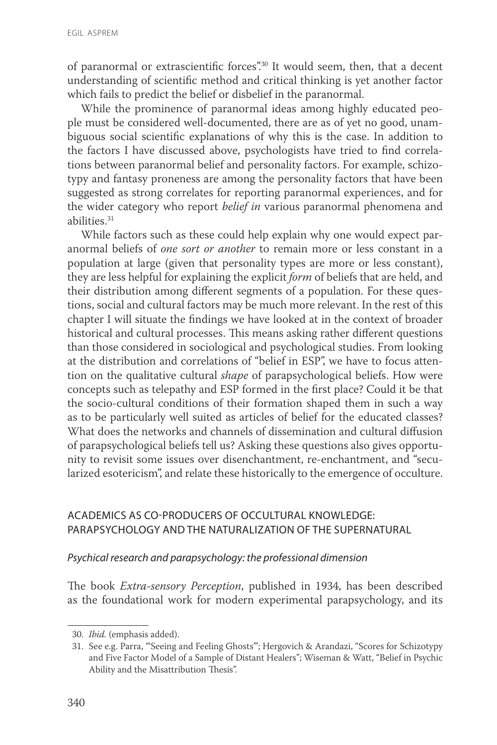of paranormal or extrascientific forces".<sup>30</sup> It would seem, then, that a decent understanding of scientiic method and critical thinking is yet another factor which fails to predict the belief or disbelief in the paranormal.

While the prominence of paranormal ideas among highly educated people must be considered well-documented, there are as of yet no good, unambiguous social scientiic explanations of why this is the case. In addition to the factors I have discussed above, psychologists have tried to find correlations between paranormal belief and personality factors. For example, schizotypy and fantasy proneness are among the personality factors that have been suggested as strong correlates for reporting paranormal experiences, and for the wider category who report *belief in* various paranormal phenomena and abilities.<sup>31</sup>

While factors such as these could help explain why one would expect paranormal beliefs of one sort or another to remain more or less constant in a population at large (given that personality types are more or less constant), they are less helpful for explaining the explicit form of beliefs that are held, and their distribution among diferent segments of a population. For these questions, social and cultural factors may be much more relevant. In the rest of this chapter I will situate the findings we have looked at in the context of broader historical and cultural processes. This means asking rather different questions than those considered in sociological and psychological studies. From looking at the distribution and correlations of "belief in ESP", we have to focus attention on the qualitative cultural *shape* of parapsychological beliefs. How were concepts such as telepathy and ESP formed in the first place? Could it be that the socio-cultural conditions of their formation shaped them in such a way as to be particularly well suited as articles of belief for the educated classes? What does the networks and channels of dissemination and cultural difusion of parapsychological beliefs tell us? Asking these questions also gives opportunity to revisit some issues over disenchantment, re-enchantment, and "secularized esotericism", and relate these historically to the emergence of occulture.

## ACADEMICS AS CO-PRODUCERS OF OCCUlTURAl KNOWlEDgE: PARAPSYChOlOgY AND ThE NATURAlIZATION OF ThE SUPERNATURAl

#### Psychical research and parapsychology: the professional dimension

he book Extra-sensory Perception, published in 1934, has been described as the foundational work for modern experimental parapsychology, and its

 <sup>30.</sup> Ibid. (emphasis added).

 <sup>31.</sup> See e.g. Parra, "'Seeing and Feeling Ghosts'"; Hergovich & Arandazi, "Scores for Schizotypy and Five Factor Model of a Sample of Distant Healers"; Wiseman & Watt, "Belief in Psychic Ability and the Misattribution Thesis".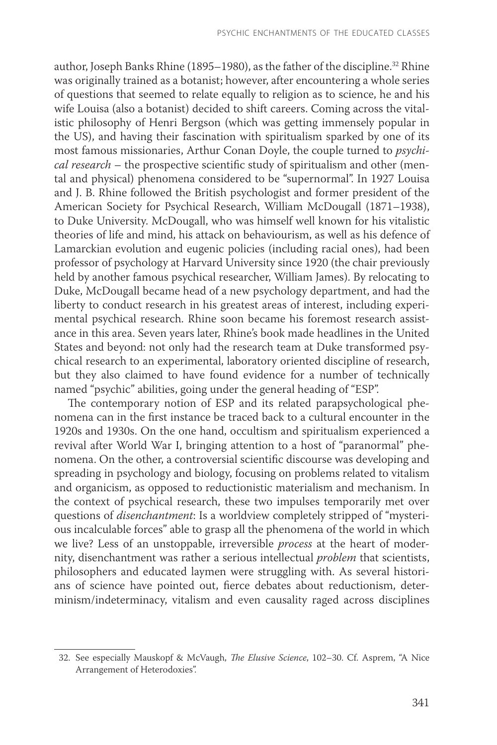author, Joseph Banks Rhine (1895–1980), as the father of the discipline.<sup>32</sup> Rhine was originally trained as a botanist; however, after encountering a whole series of questions that seemed to relate equally to religion as to science, he and his wife Louisa (also a botanist) decided to shift careers. Coming across the vitalistic philosophy of Henri Bergson (which was getting immensely popular in the US), and having their fascination with spiritualism sparked by one of its most famous missionaries, Arthur Conan Doyle, the couple turned to psychi $cal research$  – the prospective scientific study of spiritualism and other (mental and physical) phenomena considered to be "supernormal". In 1927 Louisa and J. B. Rhine followed the British psychologist and former president of the American Society for Psychical Research, William McDougall (1871–1938), to Duke University. McDougall, who was himself well known for his vitalistic theories of life and mind, his attack on behaviourism, as well as his defence of Lamarckian evolution and eugenic policies (including racial ones), had been professor of psychology at Harvard University since 1920 (the chair previously held by another famous psychical researcher, William James). By relocating to Duke, McDougall became head of a new psychology department, and had the liberty to conduct research in his greatest areas of interest, including experimental psychical research. Rhine soon became his foremost research assistance in this area. Seven years later, Rhine's book made headlines in the United States and beyond: not only had the research team at Duke transformed psychical research to an experimental, laboratory oriented discipline of research, but they also claimed to have found evidence for a number of technically named "psychic" abilities, going under the general heading of "ESP".

The contemporary notion of ESP and its related parapsychological phenomena can in the first instance be traced back to a cultural encounter in the 1920s and 1930s. On the one hand, occultism and spiritualism experienced a revival after World War I, bringing attention to a host of "paranormal" phenomena. On the other, a controversial scientiic discourse was developing and spreading in psychology and biology, focusing on problems related to vitalism and organicism, as opposed to reductionistic materialism and mechanism. In the context of psychical research, these two impulses temporarily met over questions of disenchantment: Is a worldview completely stripped of "mysterious incalculable forces" able to grasp all the phenomena of the world in which we live? Less of an unstoppable, irreversible process at the heart of modernity, disenchantment was rather a serious intellectual problem that scientists, philosophers and educated laymen were struggling with. As several historians of science have pointed out, fierce debates about reductionism, determinism/indeterminacy, vitalism and even causality raged across disciplines

<sup>32.</sup> See especially Mauskopf & McVaugh, *The Elusive Science*, 102-30. Cf. Asprem, "A Nice Arrangement of Heterodoxies".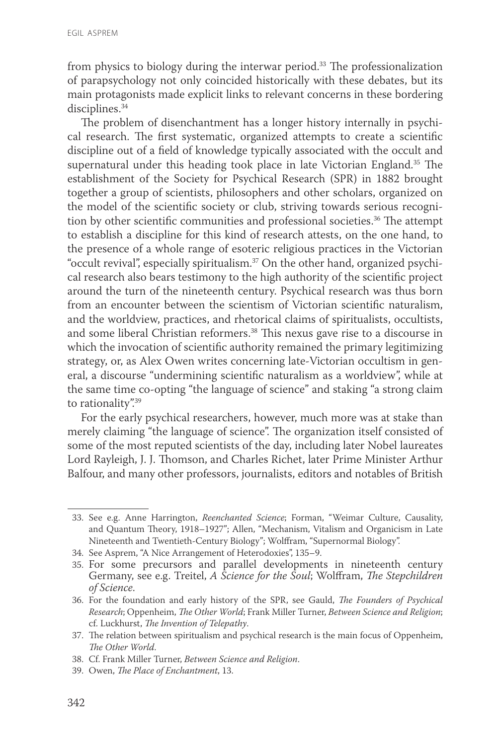from physics to biology during the interwar period.<sup>33</sup> The professionalization of parapsychology not only coincided historically with these debates, but its main protagonists made explicit links to relevant concerns in these bordering disciplines.<sup>34</sup>

he problem of disenchantment has a longer history internally in psychical research. The first systematic, organized attempts to create a scientific discipline out of a field of knowledge typically associated with the occult and supernatural under this heading took place in late Victorian England.<sup>35</sup> The establishment of the Society for Psychical Research (SPR) in 1882 brought together a group of scientists, philosophers and other scholars, organized on the model of the scientific society or club, striving towards serious recognition by other scientific communities and professional societies.<sup>36</sup> The attempt to establish a discipline for this kind of research attests, on the one hand, to the presence of a whole range of esoteric religious practices in the Victorian "occult revival", especially spiritualism.37 On the other hand, organized psychical research also bears testimony to the high authority of the scientific project around the turn of the nineteenth century. Psychical research was thus born from an encounter between the scientism of Victorian scientific naturalism, and the worldview, practices, and rhetorical claims of spiritualists, occultists, and some liberal Christian reformers.<sup>38</sup> This nexus gave rise to a discourse in which the invocation of scientific authority remained the primary legitimizing strategy, or, as Alex Owen writes concerning late-Victorian occultism in general, a discourse "undermining scientific naturalism as a worldview", while at the same time co-opting "the language of science" and staking "a strong claim to rationality".<sup>39</sup>

For the early psychical researchers, however, much more was at stake than merely claiming "the language of science". The organization itself consisted of some of the most reputed scientists of the day, including later Nobel laureates Lord Rayleigh, J. J. Thomson, and Charles Richet, later Prime Minister Arthur Balfour, and many other professors, journalists, editors and notables of British

 <sup>33.</sup> See e.g. Anne Harrington, Reenchanted Science; Forman, "Weimar Culture, Causality, and Quantum Theory, 1918–1927"; Allen, "Mechanism, Vitalism and Organicism in Late Nineteenth and Twentieth-Century Biology"; Wolfram, "Supernormal Biology".

 <sup>34.</sup> See Asprem, "A Nice Arrangement of Heterodoxies", 135–9.

 <sup>35.</sup> For some precursors and parallel developments in nineteenth century Germany, see e.g. Treitel, A Science for the Soul; Wolffram, The Stepchildren of Science.

<sup>36.</sup> For the foundation and early history of the SPR, see Gauld, The Founders of Psychical Research; Oppenheim, The Other World; Frank Miller Turner, Between Science and Religion; cf. Luckhurst, The Invention of Telepathy.

 <sup>37.</sup> he relation between spiritualism and psychical research is the main focus of Oppenheim, The Other World.

 <sup>38.</sup> Cf. Frank Miller Turner, Between Science and Religion.

<sup>39.</sup> Owen, The Place of Enchantment, 13.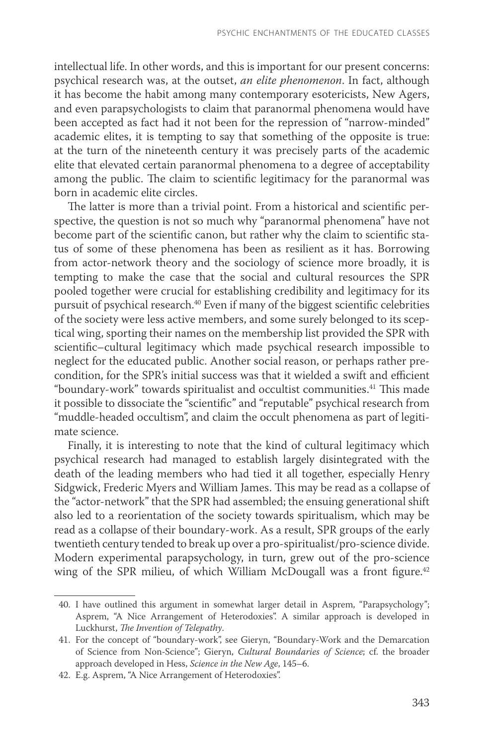intellectual life. In other words, and this is important for our present concerns: psychical research was, at the outset, an elite phenomenon. In fact, although it has become the habit among many contemporary esotericists, New Agers, and even parapsychologists to claim that paranormal phenomena would have been accepted as fact had it not been for the repression of "narrow-minded" academic elites, it is tempting to say that something of the opposite is true: at the turn of the nineteenth century it was precisely parts of the academic elite that elevated certain paranormal phenomena to a degree of acceptability among the public. The claim to scientific legitimacy for the paranormal was born in academic elite circles.

The latter is more than a trivial point. From a historical and scientific perspective, the question is not so much why "paranormal phenomena" have not become part of the scientific canon, but rather why the claim to scientific status of some of these phenomena has been as resilient as it has. Borrowing from actor-network theory and the sociology of science more broadly, it is tempting to make the case that the social and cultural resources the SPR pooled together were crucial for establishing credibility and legitimacy for its pursuit of psychical research.<sup>40</sup> Even if many of the biggest scientific celebrities of the society were less active members, and some surely belonged to its sceptical wing, sporting their names on the membership list provided the SPR with scientiic–cultural legitimacy which made psychical research impossible to neglect for the educated public. Another social reason, or perhaps rather precondition, for the SPR's initial success was that it wielded a swift and efficient "boundary-work" towards spiritualist and occultist communities.<sup>41</sup> This made it possible to dissociate the "scientific" and "reputable" psychical research from "muddle-headed occultism", and claim the occult phenomena as part of legitimate science.

Finally, it is interesting to note that the kind of cultural legitimacy which psychical research had managed to establish largely disintegrated with the death of the leading members who had tied it all together, especially Henry Sidgwick, Frederic Myers and William James. This may be read as a collapse of the "actor-network" that the SPR had assembled; the ensuing generational shift also led to a reorientation of the society towards spiritualism, which may be read as a collapse of their boundary-work. As a result, SPR groups of the early twentieth century tended to break up over a pro-spiritualist/pro-science divide. Modern experimental parapsychology, in turn, grew out of the pro-science wing of the SPR milieu, of which William McDougall was a front figure.<sup>42</sup>

 <sup>40.</sup> I have outlined this argument in somewhat larger detail in Asprem, "Parapsychology"; Asprem, "A Nice Arrangement of Heterodoxies". A similar approach is developed in Luckhurst, The Invention of Telepathy.

 <sup>41.</sup> For the concept of "boundary-work", see Gieryn, "Boundary-Work and the Demarcation of Science from Non-Science"; Gieryn, Cultural Boundaries of Science; cf. the broader approach developed in Hess, Science in the New Age, 145–6.

 <sup>42.</sup> E.g. Asprem, "A Nice Arrangement of Heterodoxies".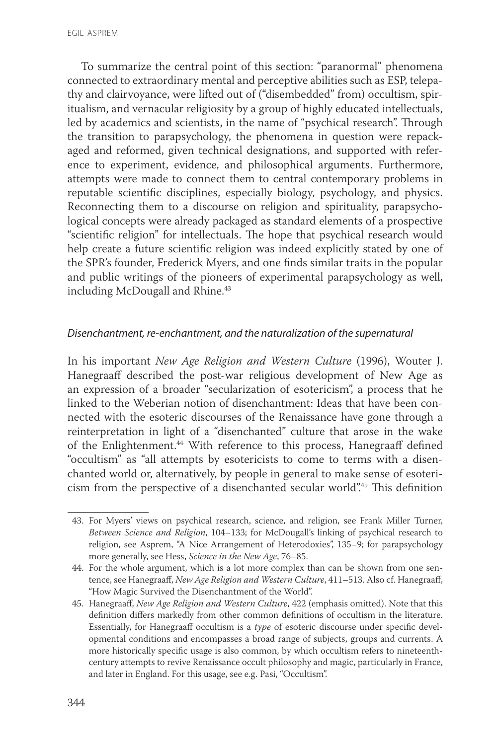To summarize the central point of this section: "paranormal" phenomena connected to extraordinary mental and perceptive abilities such as ESP, telepathy and clairvoyance, were lifted out of ("disembedded" from) occultism, spiritualism, and vernacular religiosity by a group of highly educated intellectuals, led by academics and scientists, in the name of "psychical research". Through the transition to parapsychology, the phenomena in question were repackaged and reformed, given technical designations, and supported with reference to experiment, evidence, and philosophical arguments. Furthermore, attempts were made to connect them to central contemporary problems in reputable scientific disciplines, especially biology, psychology, and physics. Reconnecting them to a discourse on religion and spirituality, parapsychological concepts were already packaged as standard elements of a prospective "scientific religion" for intellectuals. The hope that psychical research would help create a future scientific religion was indeed explicitly stated by one of the SPR's founder, Frederick Myers, and one finds similar traits in the popular and public writings of the pioneers of experimental parapsychology as well, including McDougall and Rhine.<sup>43</sup>

#### Disenchantment, re-enchantment, and the naturalization of the supernatural

In his important New Age Religion and Western Culture (1996), Wouter J. Hanegraaff described the post-war religious development of New Age as an expression of a broader "secularization of esotericism", a process that he linked to the Weberian notion of disenchantment: Ideas that have been connected with the esoteric discourses of the Renaissance have gone through a reinterpretation in light of a "disenchanted" culture that arose in the wake of the Enlightenment.<sup>44</sup> With reference to this process, Hanegraaff defined "occultism" as "all attempts by esotericists to come to terms with a disenchanted world or, alternatively, by people in general to make sense of esotericism from the perspective of a disenchanted secular world".<sup>45</sup> This definition

 <sup>43.</sup> For Myers' views on psychical research, science, and religion, see Frank Miller Turner, Between Science and Religion, 104–133; for McDougall's linking of psychical research to religion, see Asprem, "A Nice Arrangement of Heterodoxies", 135–9; for parapsychology more generally, see Hess, Science in the New Age, 76–85.

 <sup>44.</sup> For the whole argument, which is a lot more complex than can be shown from one sentence, see Hanegraaff, New Age Religion and Western Culture, 411-513. Also cf. Hanegraaff, "How Magic Survived the Disenchantment of the World".

<sup>45.</sup> Hanegraaff, New Age Religion and Western Culture, 422 (emphasis omitted). Note that this definition differs markedly from other common definitions of occultism in the literature. Essentially, for Hanegraaff occultism is a type of esoteric discourse under specific developmental conditions and encompasses a broad range of subjects, groups and currents. A more historically specific usage is also common, by which occultism refers to nineteenthcentury attempts to revive Renaissance occult philosophy and magic, particularly in France, and later in England. For this usage, see e.g. Pasi, "Occultism".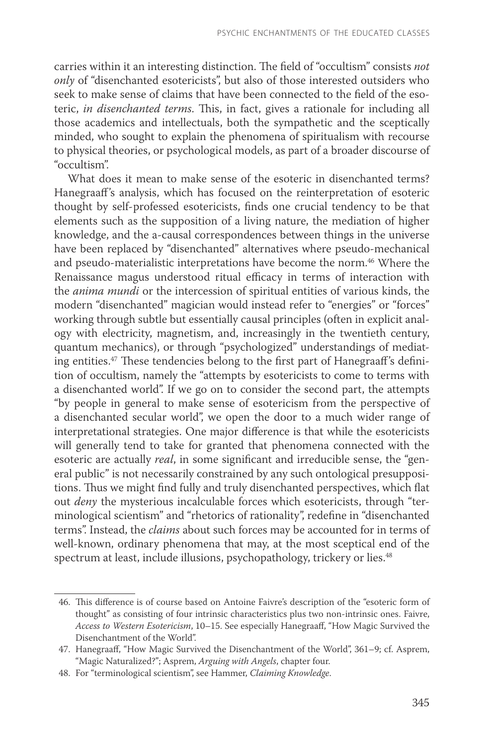carries within it an interesting distinction. The field of "occultism" consists not only of "disenchanted esotericists", but also of those interested outsiders who seek to make sense of claims that have been connected to the field of the esoteric, *in disenchanted terms*. This, in fact, gives a rationale for including all those academics and intellectuals, both the sympathetic and the sceptically minded, who sought to explain the phenomena of spiritualism with recourse to physical theories, or psychological models, as part of a broader discourse of "occultism".

What does it mean to make sense of the esoteric in disenchanted terms? Hanegraaf's analysis, which has focused on the reinterpretation of esoteric thought by self-professed esotericists, finds one crucial tendency to be that elements such as the supposition of a living nature, the mediation of higher knowledge, and the a-causal correspondences between things in the universe have been replaced by "disenchanted" alternatives where pseudo-mechanical and pseudo-materialistic interpretations have become the norm.<sup>46</sup> Where the Renaissance magus understood ritual efficacy in terms of interaction with the anima mundi or the intercession of spiritual entities of various kinds, the modern "disenchanted" magician would instead refer to "energies" or "forces" working through subtle but essentially causal principles (often in explicit analogy with electricity, magnetism, and, increasingly in the twentieth century, quantum mechanics), or through "psychologized" understandings of mediating entities.<sup>47</sup> These tendencies belong to the first part of Hanegraaff's definition of occultism, namely the "attempts by esotericists to come to terms with a disenchanted world". If we go on to consider the second part, the attempts "by people in general to make sense of esotericism from the perspective of a disenchanted secular world", we open the door to a much wider range of interpretational strategies. One major diference is that while the esotericists will generally tend to take for granted that phenomena connected with the esoteric are actually *real*, in some significant and irreducible sense, the "general public" is not necessarily constrained by any such ontological presuppositions. Thus we might find fully and truly disenchanted perspectives, which flat out deny the mysterious incalculable forces which esotericists, through "terminological scientism" and "rhetorics of rationality", redefine in "disenchanted terms". Instead, the claims about such forces may be accounted for in terms of well-known, ordinary phenomena that may, at the most sceptical end of the spectrum at least, include illusions, psychopathology, trickery or lies.<sup>48</sup>

 <sup>46.</sup> his diference is of course based on Antoine Faivre's description of the "esoteric form of thought" as consisting of four intrinsic characteristics plus two non-intrinsic ones. Faivre, Access to Western Esotericism, 10–15. See especially Hanegraaf, "How Magic Survived the Disenchantment of the World".

 <sup>47.</sup> Hanegraaf, "How Magic Survived the Disenchantment of the World", 361–9; cf. Asprem, "Magic Naturalized?"; Asprem, Arguing with Angels, chapter four.

 <sup>48.</sup> For "terminological scientism", see Hammer, Claiming Knowledge.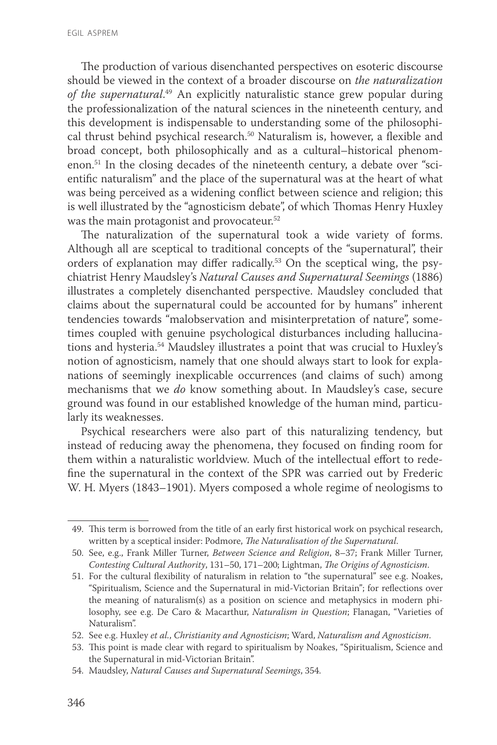he production of various disenchanted perspectives on esoteric discourse should be viewed in the context of a broader discourse on the naturalization of the supernatural. <sup>49</sup> An explicitly naturalistic stance grew popular during the professionalization of the natural sciences in the nineteenth century, and this development is indispensable to understanding some of the philosophical thrust behind psychical research.<sup>50</sup> Naturalism is, however, a flexible and broad concept, both philosophically and as a cultural–historical phenomenon.51 In the closing decades of the nineteenth century, a debate over "scientific naturalism" and the place of the supernatural was at the heart of what was being perceived as a widening conflict between science and religion; this is well illustrated by the "agnosticism debate", of which Thomas Henry Huxley was the main protagonist and provocateur.<sup>52</sup>

The naturalization of the supernatural took a wide variety of forms. Although all are sceptical to traditional concepts of the "supernatural", their orders of explanation may differ radically.<sup>53</sup> On the sceptical wing, the psychiatrist Henry Maudsley's Natural Causes and Supernatural Seemings (1886) illustrates a completely disenchanted perspective. Maudsley concluded that claims about the supernatural could be accounted for by humans" inherent tendencies towards "malobservation and misinterpretation of nature", sometimes coupled with genuine psychological disturbances including hallucinations and hysteria.<sup>54</sup> Maudsley illustrates a point that was crucial to Huxley's notion of agnosticism, namely that one should always start to look for explanations of seemingly inexplicable occurrences (and claims of such) among mechanisms that we do know something about. In Maudsley's case, secure ground was found in our established knowledge of the human mind, particularly its weaknesses.

Psychical researchers were also part of this naturalizing tendency, but instead of reducing away the phenomena, they focused on finding room for them within a naturalistic worldview. Much of the intellectual efort to redefine the supernatural in the context of the SPR was carried out by Frederic W. H. Myers (1843–1901). Myers composed a whole regime of neologisms to

<sup>49.</sup> This term is borrowed from the title of an early first historical work on psychical research, written by a sceptical insider: Podmore, The Naturalisation of the Supernatural.

 <sup>50.</sup> See, e.g., Frank Miller Turner, Between Science and Religion, 8–37; Frank Miller Turner, Contesting Cultural Authority, 131-50, 171-200; Lightman, The Origins of Agnosticism.

 <sup>51.</sup> For the cultural lexibility of naturalism in relation to "the supernatural" see e.g. Noakes, "Spiritualism, Science and the Supernatural in mid-Victorian Britain"; for relections over the meaning of naturalism(s) as a position on science and metaphysics in modern philosophy, see e.g. De Caro & Macarthur, Naturalism in Question; Flanagan, "Varieties of Naturalism".

 <sup>52.</sup> See e.g. Huxley et al., Christianity and Agnosticism; Ward, Naturalism and Agnosticism.

<sup>53.</sup> This point is made clear with regard to spiritualism by Noakes, "Spiritualism, Science and the Supernatural in mid-Victorian Britain".

 <sup>54.</sup> Maudsley, Natural Causes and Supernatural Seemings, 354.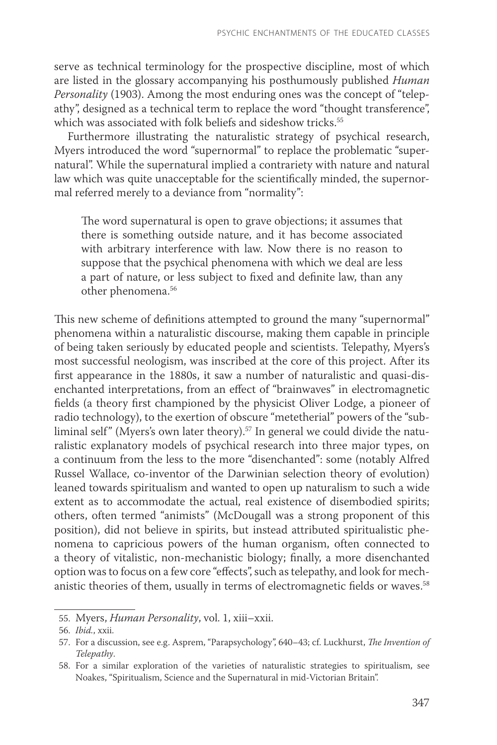serve as technical terminology for the prospective discipline, most of which are listed in the glossary accompanying his posthumously published Human Personality (1903). Among the most enduring ones was the concept of "telepathy", designed as a technical term to replace the word "thought transference", which was associated with folk beliefs and sideshow tricks.<sup>55</sup>

Furthermore illustrating the naturalistic strategy of psychical research, Myers introduced the word "supernormal" to replace the problematic "supernatural". While the supernatural implied a contrariety with nature and natural law which was quite unacceptable for the scientifically minded, the supernormal referred merely to a deviance from "normality":

he word supernatural is open to grave objections; it assumes that there is something outside nature, and it has become associated with arbitrary interference with law. Now there is no reason to suppose that the psychical phenomena with which we deal are less a part of nature, or less subject to fixed and definite law, than any other phenomena.<sup>56</sup>

This new scheme of definitions attempted to ground the many "supernormal" phenomena within a naturalistic discourse, making them capable in principle of being taken seriously by educated people and scientists. Telepathy, Myers's most successful neologism, was inscribed at the core of this project. After its first appearance in the 1880s, it saw a number of naturalistic and quasi-disenchanted interpretations, from an efect of "brainwaves" in electromagnetic fields (a theory first championed by the physicist Oliver Lodge, a pioneer of radio technology), to the exertion of obscure "metetherial" powers of the "subliminal self" (Myers's own later theory).<sup>57</sup> In general we could divide the naturalistic explanatory models of psychical research into three major types, on a continuum from the less to the more "disenchanted": some (notably Alfred Russel Wallace, co-inventor of the Darwinian selection theory of evolution) leaned towards spiritualism and wanted to open up naturalism to such a wide extent as to accommodate the actual, real existence of disembodied spirits; others, often termed "animists" (McDougall was a strong proponent of this position), did not believe in spirits, but instead attributed spiritualistic phenomena to capricious powers of the human organism, often connected to a theory of vitalistic, non-mechanistic biology; inally, a more disenchanted option was to focus on a few core "efects", such as telepathy, and look for mechanistic theories of them, usually in terms of electromagnetic fields or waves.<sup>58</sup>

 <sup>55.</sup> Myers, Human Personality, vol. 1, xiii–xxii.

 <sup>56.</sup> Ibid., xxii.

<sup>57.</sup> For a discussion, see e.g. Asprem, "Parapsychology", 640-43; cf. Luckhurst, The Invention of Telepathy.

 <sup>58.</sup> For a similar exploration of the varieties of naturalistic strategies to spiritualism, see Noakes, "Spiritualism, Science and the Supernatural in mid-Victorian Britain".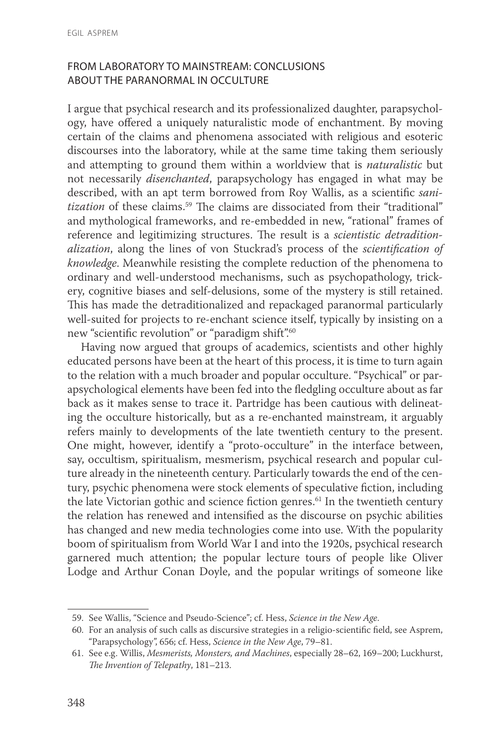# FROM lAbORATORY TO MAINSTREAM: CONClUSIONS AbOUT ThE PARANORMAl IN OCCUlTURE

I argue that psychical research and its professionalized daughter, parapsychology, have ofered a uniquely naturalistic mode of enchantment. By moving certain of the claims and phenomena associated with religious and esoteric discourses into the laboratory, while at the same time taking them seriously and attempting to ground them within a worldview that is *naturalistic* but not necessarily disenchanted, parapsychology has engaged in what may be described, with an apt term borrowed from Roy Wallis, as a scientific sanitization of these claims.<sup>59</sup> The claims are dissociated from their "traditional" and mythological frameworks, and re-embedded in new, "rational" frames of reference and legitimizing structures. The result is a scientistic detraditionalization, along the lines of von Stuckrad's process of the scientification of knowledge. Meanwhile resisting the complete reduction of the phenomena to ordinary and well-understood mechanisms, such as psychopathology, trickery, cognitive biases and self-delusions, some of the mystery is still retained. his has made the detraditionalized and repackaged paranormal particularly well-suited for projects to re-enchant science itself, typically by insisting on a new "scientific revolution" or "paradigm shift".<sup>60</sup>

Having now argued that groups of academics, scientists and other highly educated persons have been at the heart of this process, it is time to turn again to the relation with a much broader and popular occulture. "Psychical" or parapsychological elements have been fed into the ledgling occulture about as far back as it makes sense to trace it. Partridge has been cautious with delineating the occulture historically, but as a re-enchanted mainstream, it arguably refers mainly to developments of the late twentieth century to the present. One might, however, identify a "proto-occulture" in the interface between, say, occultism, spiritualism, mesmerism, psychical research and popular culture already in the nineteenth century. Particularly towards the end of the century, psychic phenomena were stock elements of speculative fiction, including the late Victorian gothic and science fiction genres.<sup>61</sup> In the twentieth century the relation has renewed and intensified as the discourse on psychic abilities has changed and new media technologies come into use. With the popularity boom of spiritualism from World War I and into the 1920s, psychical research garnered much attention; the popular lecture tours of people like Oliver Lodge and Arthur Conan Doyle, and the popular writings of someone like

 <sup>59.</sup> See Wallis, "Science and Pseudo-Science"; cf. Hess, Science in the New Age.

<sup>60.</sup> For an analysis of such calls as discursive strategies in a religio-scientific field, see Asprem, "Parapsychology", 656; cf. Hess, Science in the New Age, 79–81.

 <sup>61.</sup> See e.g. Willis, Mesmerists, Monsters, and Machines, especially 28–62, 169–200; Luckhurst, The Invention of Telepathy, 181-213.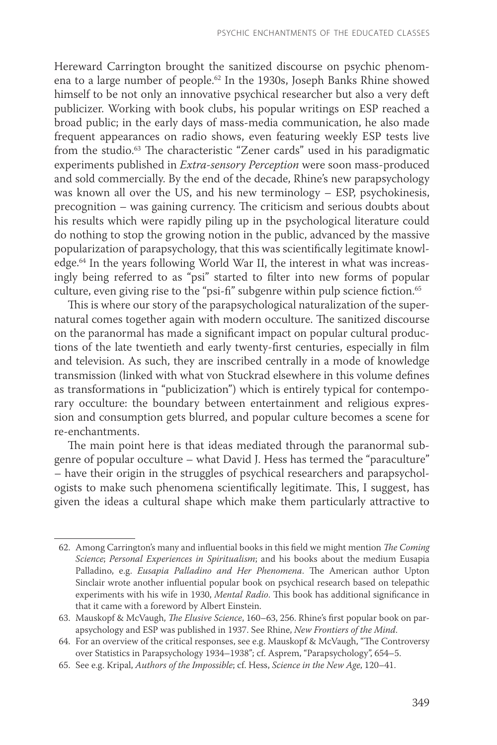Hereward Carrington brought the sanitized discourse on psychic phenomena to a large number of people.<sup>62</sup> In the 1930s, Joseph Banks Rhine showed himself to be not only an innovative psychical researcher but also a very deft publicizer. Working with book clubs, his popular writings on ESP reached a broad public; in the early days of mass-media communication, he also made frequent appearances on radio shows, even featuring weekly ESP tests live from the studio.<sup>63</sup> The characteristic "Zener cards" used in his paradigmatic experiments published in Extra-sensory Perception were soon mass-produced and sold commercially. By the end of the decade, Rhine's new parapsychology was known all over the US, and his new terminology – ESP, psychokinesis, precognition – was gaining currency. The criticism and serious doubts about his results which were rapidly piling up in the psychological literature could do nothing to stop the growing notion in the public, advanced by the massive popularization of parapsychology, that this was scientifically legitimate knowledge.<sup>64</sup> In the years following World War II, the interest in what was increasingly being referred to as "psi" started to filter into new forms of popular culture, even giving rise to the "psi-fi" subgenre within pulp science fiction.<sup>65</sup>

his is where our story of the parapsychological naturalization of the supernatural comes together again with modern occulture. The sanitized discourse on the paranormal has made a significant impact on popular cultural productions of the late twentieth and early twenty-first centuries, especially in film and television. As such, they are inscribed centrally in a mode of knowledge transmission (linked with what von Stuckrad elsewhere in this volume defines as transformations in "publicization") which is entirely typical for contemporary occulture: the boundary between entertainment and religious expression and consumption gets blurred, and popular culture becomes a scene for re-enchantments.

The main point here is that ideas mediated through the paranormal subgenre of popular occulture – what David J. Hess has termed the "paraculture" – have their origin in the struggles of psychical researchers and parapsychologists to make such phenomena scientifically legitimate. This, I suggest, has given the ideas a cultural shape which make them particularly attractive to

<sup>62.</sup> Among Carrington's many and influential books in this field we might mention *The Coming* Science; Personal Experiences in Spiritualism; and his books about the medium Eusapia Palladino, e.g. Eusapia Palladino and Her Phenomena. The American author Upton Sinclair wrote another inluential popular book on psychical research based on telepathic experiments with his wife in 1930, Mental Radio. This book has additional significance in that it came with a foreword by Albert Einstein.

<sup>63.</sup> Mauskopf & McVaugh, The Elusive Science, 160-63, 256. Rhine's first popular book on parapsychology and ESP was published in 1937. See Rhine, New Frontiers of the Mind.

 <sup>64.</sup> For an overview of the critical responses, see e.g. Mauskopf & McVaugh, "he Controversy over Statistics in Parapsychology 1934–1938"; cf. Asprem, "Parapsychology", 654–5.

 <sup>65.</sup> See e.g. Kripal, Authors of the Impossible; cf. Hess, Science in the New Age, 120–41.